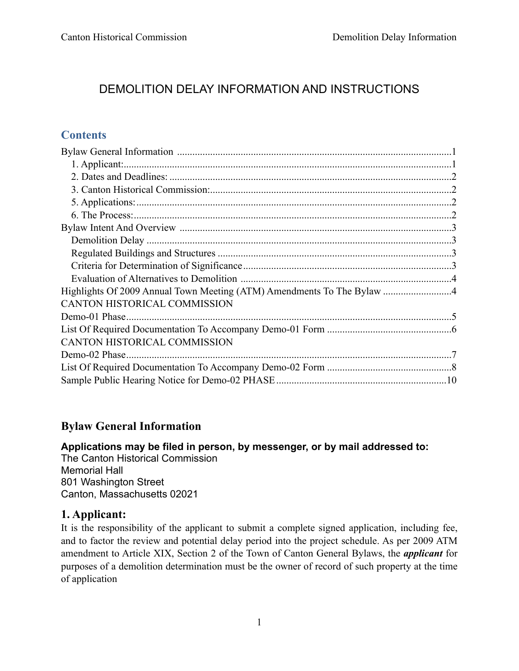# DEMOLITION DELAY INFORMATION AND INSTRUCTIONS

## **Contents**

| <b>CANTON HISTORICAL COMMISSION</b> |  |
|-------------------------------------|--|
|                                     |  |
|                                     |  |
| <b>CANTON HISTORICAL COMMISSION</b> |  |
|                                     |  |
|                                     |  |
|                                     |  |

#### **Bylaw General Information**

**Applications may be filed in person, by messenger, or by mail addressed to:** The Canton Historical Commission Memorial Hall 801 Washington Street Canton, Massachusetts 02021

#### **1. Applicant:**

It is the responsibility of the applicant to submit a complete signed application, including fee, and to factor the review and potential delay period into the project schedule. As per 2009 ATM amendment to Article XIX, Section 2 of the Town of Canton General Bylaws, the *applicant* for purposes of a demolition determination must be the owner of record of such property at the time of application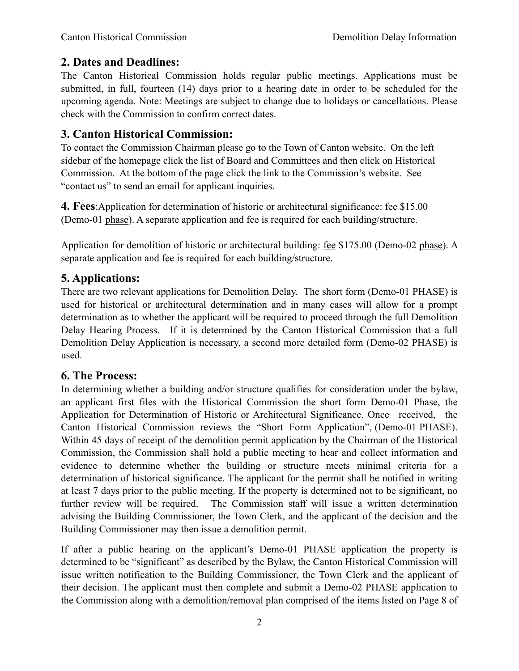## **2. Dates and Deadlines:**

The Canton Historical Commission holds regular public meetings. Applications must be submitted, in full, fourteen (14) days prior to a hearing date in order to be scheduled for the upcoming agenda. Note: Meetings are subject to change due to holidays or cancellations. Please check with the Commission to confirm correct dates.

## **3. Canton Historical Commission:**

To contact the Commission Chairman please go to the Town of Canton website. On the left sidebar of the homepage click the list of Board and Committees and then click on Historical Commission. At the bottom of the page click the link to the Commission's website. See "contact us" to send an email for applicant inquiries.

**4. Fees**:Application for determination of historic or architectural significance: fee \$15.00 (Demo-01 phase). A separate application and fee is required for each building/structure.

Application for demolition of historic or architectural building: fee \$175.00 (Demo-02 phase). A separate application and fee is required for each building/structure.

#### **5. Applications:**

There are two relevant applications for Demolition Delay. The short form (Demo-01 PHASE) is used for historical or architectural determination and in many cases will allow for a prompt determination as to whether the applicant will be required to proceed through the full Demolition Delay Hearing Process. If it is determined by the Canton Historical Commission that a full Demolition Delay Application is necessary, a second more detailed form (Demo-02 PHASE) is used.

#### **6. The Process:**

In determining whether a building and/or structure qualifies for consideration under the bylaw, an applicant first files with the Historical Commission the short form Demo-01 Phase, the Application for Determination of Historic or Architectural Significance. Once received, the Canton Historical Commission reviews the "Short Form Application", (Demo-01 PHASE). Within 45 days of receipt of the demolition permit application by the Chairman of the Historical Commission, the Commission shall hold a public meeting to hear and collect information and evidence to determine whether the building or structure meets minimal criteria for a determination of historical significance. The applicant for the permit shall be notified in writing at least 7 days prior to the public meeting. If the property is determined not to be significant, no further review will be required. The Commission staff will issue a written determination advising the Building Commissioner, the Town Clerk, and the applicant of the decision and the Building Commissioner may then issue a demolition permit.

If after a public hearing on the applicant's Demo-01 PHASE application the property is determined to be "significant" as described by the Bylaw, the Canton Historical Commission will issue written notification to the Building Commissioner, the Town Clerk and the applicant of their decision. The applicant must then complete and submit a Demo-02 PHASE application to the Commission along with a demolition/removal plan comprised of the items listed on Page 8 of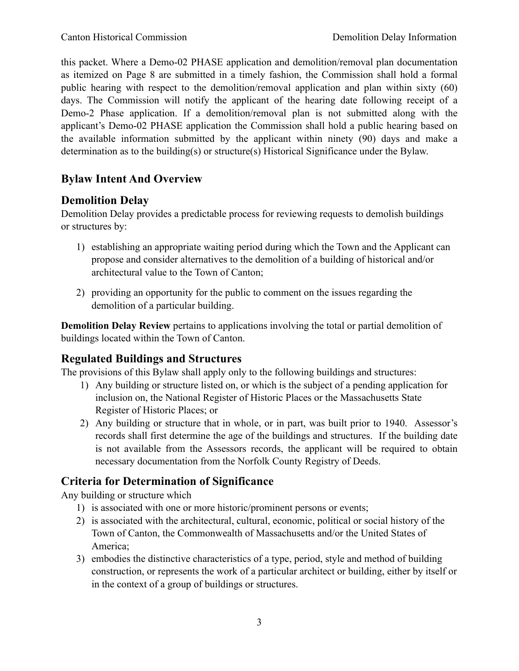this packet. Where a Demo-02 PHASE application and demolition/removal plan documentation as itemized on Page 8 are submitted in a timely fashion, the Commission shall hold a formal public hearing with respect to the demolition/removal application and plan within sixty (60) days. The Commission will notify the applicant of the hearing date following receipt of a Demo-2 Phase application. If a demolition/removal plan is not submitted along with the applicant's Demo-02 PHASE application the Commission shall hold a public hearing based on the available information submitted by the applicant within ninety (90) days and make a determination as to the building(s) or structure(s) Historical Significance under the Bylaw.

## **Bylaw Intent And Overview**

## **Demolition Delay**

Demolition Delay provides a predictable process for reviewing requests to demolish buildings or structures by:

- 1) establishing an appropriate waiting period during which the Town and the Applicant can propose and consider alternatives to the demolition of a building of historical and/or architectural value to the Town of Canton;
- 2) providing an opportunity for the public to comment on the issues regarding the demolition of a particular building.

**Demolition Delay Review** pertains to applications involving the total or partial demolition of buildings located within the Town of Canton.

## **Regulated Buildings and Structures**

The provisions of this Bylaw shall apply only to the following buildings and structures:

- 1) Any building or structure listed on, or which is the subject of a pending application for inclusion on, the National Register of Historic Places or the Massachusetts State Register of Historic Places; or
- 2) Any building or structure that in whole, or in part, was built prior to 1940. Assessor's records shall first determine the age of the buildings and structures. If the building date is not available from the Assessors records, the applicant will be required to obtain necessary documentation from the Norfolk County Registry of Deeds.

# **Criteria for Determination of Significance**

Any building or structure which

- 1) is associated with one or more historic/prominent persons or events;
- 2) is associated with the architectural, cultural, economic, political or social history of the Town of Canton, the Commonwealth of Massachusetts and/or the United States of America;
- 3) embodies the distinctive characteristics of a type, period, style and method of building construction, or represents the work of a particular architect or building, either by itself or in the context of a group of buildings or structures.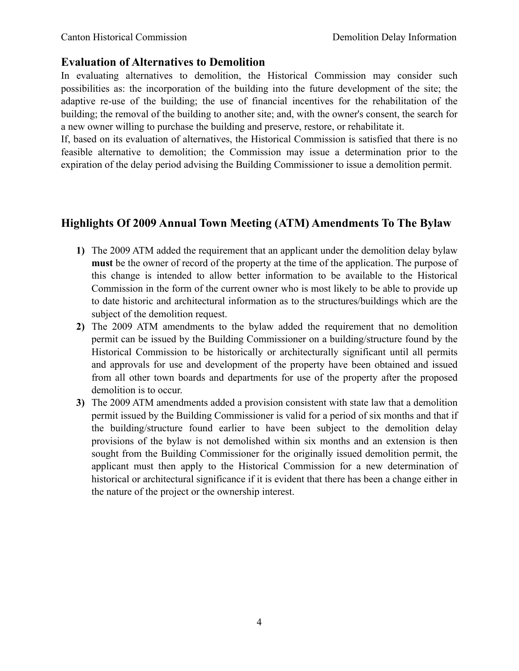## **Evaluation of Alternatives to Demolition**

In evaluating alternatives to demolition, the Historical Commission may consider such possibilities as: the incorporation of the building into the future development of the site; the adaptive re-use of the building; the use of financial incentives for the rehabilitation of the building; the removal of the building to another site; and, with the owner's consent, the search for a new owner willing to purchase the building and preserve, restore, or rehabilitate it.

If, based on its evaluation of alternatives, the Historical Commission is satisfied that there is no feasible alternative to demolition; the Commission may issue a determination prior to the expiration of the delay period advising the Building Commissioner to issue a demolition permit.

## **Highlights Of 2009 Annual Town Meeting (ATM) Amendments To The Bylaw**

- **1)** The 2009 ATM added the requirement that an applicant under the demolition delay bylaw **must** be the owner of record of the property at the time of the application. The purpose of this change is intended to allow better information to be available to the Historical Commission in the form of the current owner who is most likely to be able to provide up to date historic and architectural information as to the structures/buildings which are the subject of the demolition request.
- **2)** The 2009 ATM amendments to the bylaw added the requirement that no demolition permit can be issued by the Building Commissioner on a building/structure found by the Historical Commission to be historically or architecturally significant until all permits and approvals for use and development of the property have been obtained and issued from all other town boards and departments for use of the property after the proposed demolition is to occur.
- **3)** The 2009 ATM amendments added a provision consistent with state law that a demolition permit issued by the Building Commissioner is valid for a period of six months and that if the building/structure found earlier to have been subject to the demolition delay provisions of the bylaw is not demolished within six months and an extension is then sought from the Building Commissioner for the originally issued demolition permit, the applicant must then apply to the Historical Commission for a new determination of historical or architectural significance if it is evident that there has been a change either in the nature of the project or the ownership interest.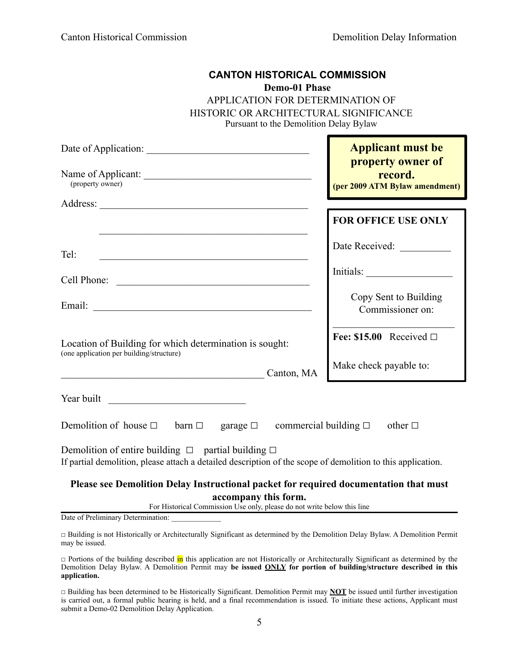| <b>CANTON HISTORICAL COMMISSION</b><br><b>Demo-01 Phase</b><br>APPLICATION FOR DETERMINATION OF<br>HISTORIC OR ARCHITECTURAL SIGNIFICANCE<br>Pursuant to the Demolition Delay Bylaw                                                  |                                                                                                              |
|--------------------------------------------------------------------------------------------------------------------------------------------------------------------------------------------------------------------------------------|--------------------------------------------------------------------------------------------------------------|
| (property owner)                                                                                                                                                                                                                     | <b>Applicant must be</b><br>property owner of<br><b>Example 18 record.</b><br>(per 2009 ATM Bylaw amendment) |
|                                                                                                                                                                                                                                      | <b>FOR OFFICE USE ONLY</b>                                                                                   |
| Tel:<br><u> 1989 - Johann John Stone, mars eta biztanleria (h. 1989).</u>                                                                                                                                                            | Date Received:                                                                                               |
| Cell Phone: <u>and the same of the same of the same of the same of the same of the same of the same of the same of the same of the same of the same of the same of the same of the same of the same of the same of the same of t</u> |                                                                                                              |
|                                                                                                                                                                                                                                      | Copy Sent to Building<br>Commissioner on:                                                                    |
| Location of Building for which determination is sought:<br>(one application per building/structure)                                                                                                                                  | Fee: $$15.00$ Received $\square$                                                                             |
| Canton, MA<br><u> 2000 - 2000 - 2000 - 2000 - 2000 - 2000 - 2000 - 2000 - 2000 - 2000 - 2000 - 2000 - 2000 - 2000 - 2000 - 200</u>                                                                                                   | Make check payable to:                                                                                       |
| Year built                                                                                                                                                                                                                           |                                                                                                              |
| Demolition of house $\square$ barn $\square$ garage $\square$ commercial building $\square$ other $\square$                                                                                                                          |                                                                                                              |
| Demolition of entire building $\Box$ partial building $\Box$<br>If partial demolition, please attach a detailed description of the scope of demolition to this application.                                                          |                                                                                                              |
| Please see Demolition Delay Instructional packet for required documentation that must<br>accompany this form.                                                                                                                        |                                                                                                              |

For Historical Commission Use only, please do not write below this line

Date of Preliminary Determination:

□ Building is not Historically or Architecturally Significant as determined by the Demolition Delay Bylaw. A Demolition Permit may be issued.

□ Portions of the building described in this application are not Historically or Architecturally Significant as determined by the Demolition Delay Bylaw. A Demolition Permit may **be issued ONLY for portion of building/structure described in this application.**

□ Building has been determined to be Historically Significant. Demolition Permit may **NOT** be issued until further investigation is carried out, a formal public hearing is held, and a final recommendation is issued. To initiate these actions, Applicant must submit a Demo-02 Demolition Delay Application.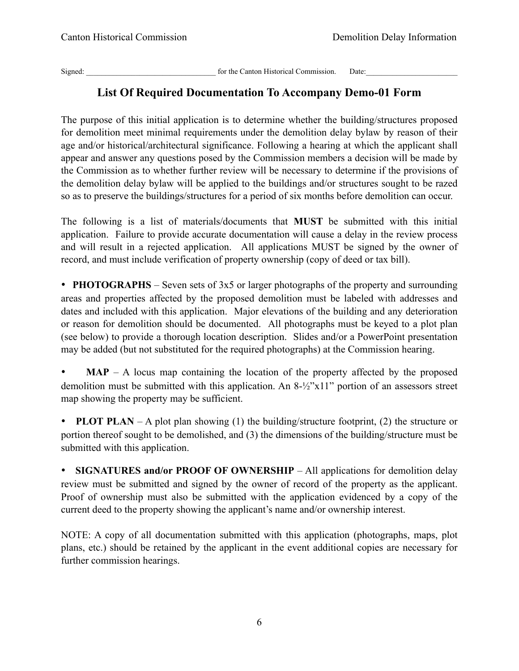Signed: \_\_\_\_\_\_\_\_\_\_\_\_\_\_\_\_\_\_\_\_\_\_\_\_\_\_\_\_\_\_\_\_\_\_ for the Canton Historical Commission. Date:\_\_\_\_\_\_\_\_\_\_\_\_\_\_\_\_\_\_\_\_\_\_\_\_

## **List Of Required Documentation To Accompany Demo-01 Form**

The purpose of this initial application is to determine whether the building/structures proposed for demolition meet minimal requirements under the demolition delay bylaw by reason of their age and/or historical/architectural significance. Following a hearing at which the applicant shall appear and answer any questions posed by the Commission members a decision will be made by the Commission as to whether further review will be necessary to determine if the provisions of the demolition delay bylaw will be applied to the buildings and/or structures sought to be razed so as to preserve the buildings/structures for a period of six months before demolition can occur.

The following is a list of materials/documents that **MUST** be submitted with this initial application. Failure to provide accurate documentation will cause a delay in the review process and will result in a rejected application. All applications MUST be signed by the owner of record, and must include verification of property ownership (copy of deed or tax bill).

• **PHOTOGRAPHS** – Seven sets of 3x5 or larger photographs of the property and surrounding areas and properties affected by the proposed demolition must be labeled with addresses and dates and included with this application. Major elevations of the building and any deterioration or reason for demolition should be documented. All photographs must be keyed to a plot plan (see below) to provide a thorough location description. Slides and/or a PowerPoint presentation may be added (but not substituted for the required photographs) at the Commission hearing.

**MAP** – A locus map containing the location of the property affected by the proposed demolition must be submitted with this application. An 8-½"x11" portion of an assessors street map showing the property may be sufficient.

**PLOT PLAN** – A plot plan showing (1) the building/structure footprint, (2) the structure or portion thereof sought to be demolished, and (3) the dimensions of the building/structure must be submitted with this application.

• **SIGNATURES and/or PROOF OF OWNERSHIP** – All applications for demolition delay review must be submitted and signed by the owner of record of the property as the applicant. Proof of ownership must also be submitted with the application evidenced by a copy of the current deed to the property showing the applicant's name and/or ownership interest.

NOTE: A copy of all documentation submitted with this application (photographs, maps, plot plans, etc.) should be retained by the applicant in the event additional copies are necessary for further commission hearings.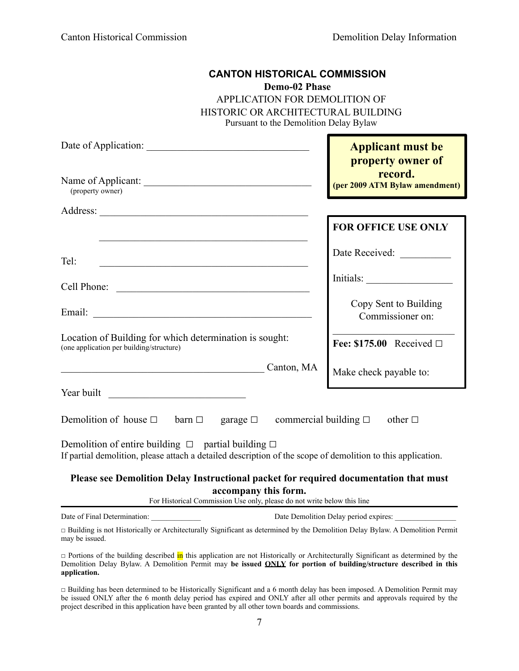| <b>CANTON HISTORICAL COMMISSION</b><br>Demo-02 Phase<br>APPLICATION FOR DEMOLITION OF<br>HISTORIC OR ARCHITECTURAL BUILDING<br>Pursuant to the Demolition Delay Bylaw                    |                                                                                            |
|------------------------------------------------------------------------------------------------------------------------------------------------------------------------------------------|--------------------------------------------------------------------------------------------|
| Name of Applicant:<br>(property owner)                                                                                                                                                   | <b>Applicant must be</b><br>property owner of<br>record.<br>(per 2009 ATM Bylaw amendment) |
|                                                                                                                                                                                          |                                                                                            |
| the control of the control of the control of the control of the control of the control of                                                                                                | <b>FOR OFFICE USE ONLY</b>                                                                 |
| Tel:<br><u> 1989 - Johann Barbara, martin din masjid a shekara ta 1989 - André a shekara ta 1989 - André a shekara ta 19</u>                                                             | Date Received: _______                                                                     |
| Cell Phone:                                                                                                                                                                              |                                                                                            |
|                                                                                                                                                                                          | Copy Sent to Building<br>Commissioner on:                                                  |
| Location of Building for which determination is sought:<br>(one application per building/structure)                                                                                      | Fee: $$175.00$ Received $\square$                                                          |
| Canton, MA                                                                                                                                                                               | Make check payable to:                                                                     |
| Year built<br><u> 1980 - Jan Barbarat, martin da basar da basar da basar da basar</u>                                                                                                    |                                                                                            |
| Demolition of house $\Box$ barn $\Box$ garage $\Box$ commercial building $\Box$ other $\Box$                                                                                             |                                                                                            |
| Demolition of entire building $\Box$ partial building $\Box$<br>If partial demolition, please attach a detailed description of the scope of demolition to this application.              |                                                                                            |
| Please see Demolition Delay Instructional packet for required documentation that must<br>accompany this form.<br>For Historical Commission Use only, please do not write below this line |                                                                                            |
| Date of Final Determination:                                                                                                                                                             | Date Demolition Delay period expires:                                                      |
| □ Building is not Historically or Architecturally Significant as determined by the Demolition Delay Bylaw. A Demolition Permit<br>may be issued.                                         |                                                                                            |

□ Portions of the building described in this application are not Historically or Architecturally Significant as determined by the Demolition Delay Bylaw. A Demolition Permit may **be issued ONLY for portion of building/structure described in this application.**

□ Building has been determined to be Historically Significant and a 6 month delay has been imposed. A Demolition Permit may be issued ONLY after the 6 month delay period has expired and ONLY after all other permits and approvals required by the project described in this application have been granted by all other town boards and commissions.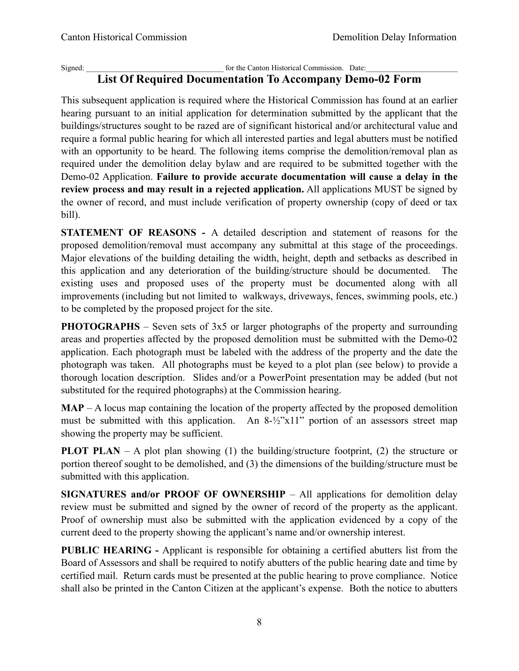#### Signed:  $\Box$  for the Canton Historical Commission. Date: **List Of Required Documentation To Accompany Demo-02 Form**

This subsequent application is required where the Historical Commission has found at an earlier hearing pursuant to an initial application for determination submitted by the applicant that the buildings/structures sought to be razed are of significant historical and/or architectural value and require a formal public hearing for which all interested parties and legal abutters must be notified with an opportunity to be heard. The following items comprise the demolition/removal plan as required under the demolition delay bylaw and are required to be submitted together with the Demo-02 Application. **Failure to provide accurate documentation will cause a delay in the review process and may result in a rejected application.** All applications MUST be signed by the owner of record, and must include verification of property ownership (copy of deed or tax bill).

**STATEMENT OF REASONS -** A detailed description and statement of reasons for the proposed demolition/removal must accompany any submittal at this stage of the proceedings. Major elevations of the building detailing the width, height, depth and setbacks as described in this application and any deterioration of the building/structure should be documented. The existing uses and proposed uses of the property must be documented along with all improvements (including but not limited to walkways, driveways, fences, swimming pools, etc.) to be completed by the proposed project for the site.

**PHOTOGRAPHS** – Seven sets of 3x5 or larger photographs of the property and surrounding areas and properties affected by the proposed demolition must be submitted with the Demo-02 application. Each photograph must be labeled with the address of the property and the date the photograph was taken. All photographs must be keyed to a plot plan (see below) to provide a thorough location description. Slides and/or a PowerPoint presentation may be added (but not substituted for the required photographs) at the Commission hearing.

**MAP** – A locus map containing the location of the property affected by the proposed demolition must be submitted with this application. An 8-½"x11" portion of an assessors street map showing the property may be sufficient.

**PLOT PLAN** – A plot plan showing (1) the building/structure footprint, (2) the structure or portion thereof sought to be demolished, and (3) the dimensions of the building/structure must be submitted with this application.

**SIGNATURES and/or PROOF OF OWNERSHIP** – All applications for demolition delay review must be submitted and signed by the owner of record of the property as the applicant. Proof of ownership must also be submitted with the application evidenced by a copy of the current deed to the property showing the applicant's name and/or ownership interest.

**PUBLIC HEARING -** Applicant is responsible for obtaining a certified abutters list from the Board of Assessors and shall be required to notify abutters of the public hearing date and time by certified mail. Return cards must be presented at the public hearing to prove compliance. Notice shall also be printed in the Canton Citizen at the applicant's expense. Both the notice to abutters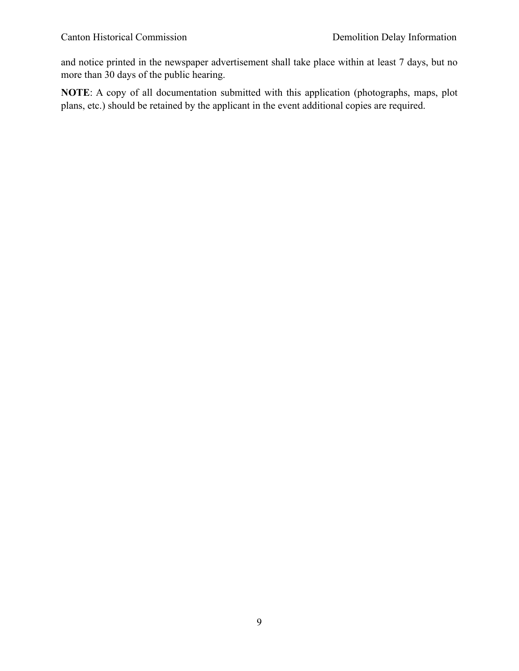and notice printed in the newspaper advertisement shall take place within at least 7 days, but no more than 30 days of the public hearing.

**NOTE**: A copy of all documentation submitted with this application (photographs, maps, plot plans, etc.) should be retained by the applicant in the event additional copies are required.